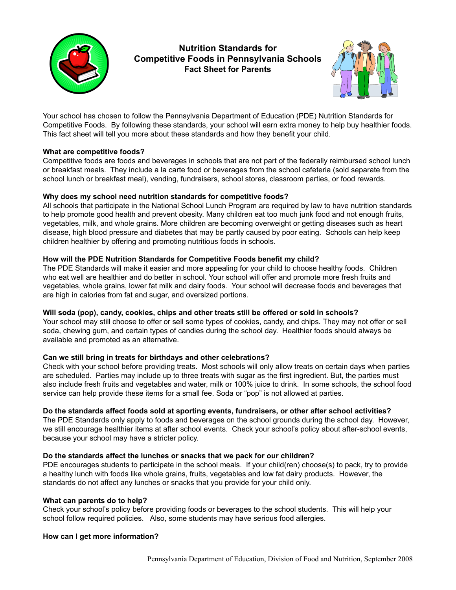

**Nutrition Standards for Competitive Foods in Pennsylvania Schools Fact Sheet for Parents**



Your school has chosen to follow the Pennsylvania Department of Education (PDE) Nutrition Standards for Competitive Foods. By following these standards, your school will earn extra money to help buy healthier foods. This fact sheet will tell you more about these standards and how they benefit your child.

## **What are competitive foods?**

Competitive foods are foods and beverages in schools that are not part of the federally reimbursed school lunch or breakfast meals. They include a la carte food or beverages from the school cafeteria (sold separate from the school lunch or breakfast meal), vending, fundraisers, school stores, classroom parties, or food rewards.

## **Why does my school need nutrition standards for competitive foods?**

All schools that participate in the National School Lunch Program are required by law to have nutrition standards to help promote good health and prevent obesity. Many children eat too much junk food and not enough fruits, vegetables, milk, and whole grains. More children are becoming overweight or getting diseases such as heart disease, high blood pressure and diabetes that may be partly caused by poor eating. Schools can help keep children healthier by offering and promoting nutritious foods in schools.

## **How will the PDE Nutrition Standards for Competitive Foods benefit my child?**

The PDE Standards will make it easier and more appealing for your child to choose healthy foods. Children who eat well are healthier and do better in school. Your school will offer and promote more fresh fruits and vegetables, whole grains, lower fat milk and dairy foods. Your school will decrease foods and beverages that are high in calories from fat and sugar, and oversized portions.

### **Will soda (pop), candy, cookies, chips and other treats still be offered or sold in schools?**

Your school may still choose to offer or sell some types of cookies, candy, and chips. They may not offer or sell soda, chewing gum, and certain types of candies during the school day. Healthier foods should always be available and promoted as an alternative.

# **Can we still bring in treats for birthdays and other celebrations?**

Check with your school before providing treats. Most schools will only allow treats on certain days when parties are scheduled. Parties may include up to three treats with sugar as the first ingredient. But, the parties must also include fresh fruits and vegetables and water, milk or 100% juice to drink. In some schools, the school food service can help provide these items for a small fee. Soda or "pop" is not allowed at parties.

### **Do the standards affect foods sold at sporting events, fundraisers, or other after school activities?**

The PDE Standards only apply to foods and beverages on the school grounds during the school day. However, we still encourage healthier items at after school events. Check your school's policy about after-school events, because your school may have a stricter policy.

### **Do the standards affect the lunches or snacks that we pack for our children?**

PDE encourages students to participate in the school meals. If your child(ren) choose(s) to pack, try to provide a healthy lunch with foods like whole grains, fruits, vegetables and low fat dairy products. However, the standards do not affect any lunches or snacks that you provide for your child only.

### **What can parents do to help?**

Check your school's policy before providing foods or beverages to the school students. This will help your school follow required policies. Also, some students may have serious food allergies.

# **How can I get more information?**